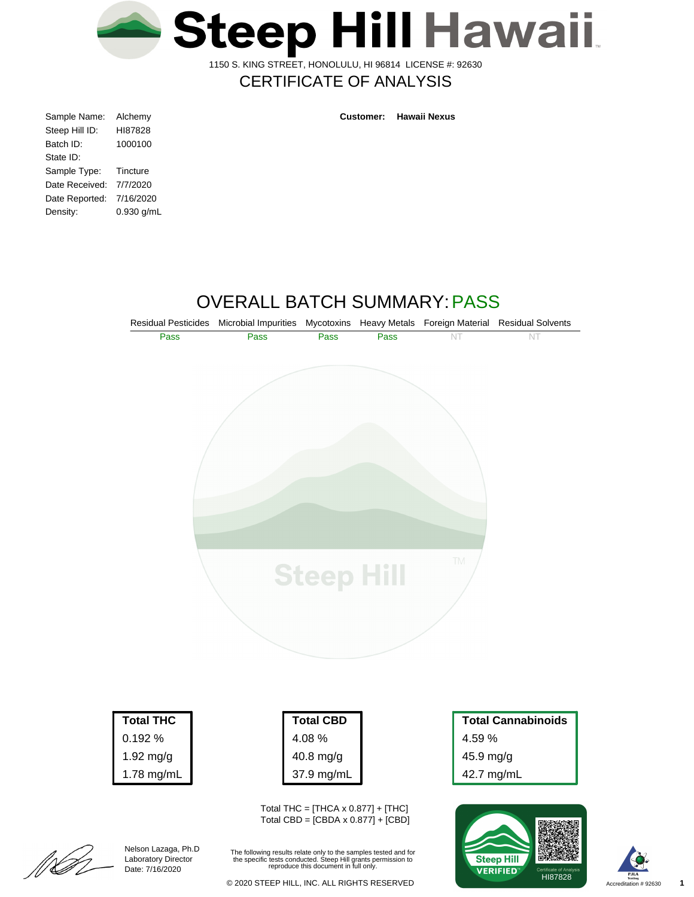

1150 S. KING STREET, HONOLULU, HI 96814 LICENSE #: 92630

# CERTIFICATE OF ANALYSIS

| Alchemy    |
|------------|
| HI87828    |
| 1000100    |
|            |
| Tincture   |
| 7/7/2020   |
| 7/16/2020  |
| 0.930 g/mL |
|            |

**Customer: Hawaii Nexus**

# OVERALL BATCH SUMMARY:PASS



| 0.192 %     |
|-------------|
| $1.92$ mg/g |
| 1.78 mg/mL  |
|             |

| Total CBD  |
|------------|
| 4.08%      |
| 40.8 mg/g  |
| 37.9 mg/mL |

Total THC =  $[THCA \times 0.877] + [THC]$ Total CBD = [CBDA x 0.877] + [CBD]

The following results relate only to the samples tested and for the specific tests conducted. Steep Hill grants permission to reproduce this document in full only.

45.9 mg/g 42.7 mg/mL







Nelson Lazaga, Ph.D Laboratory Director Date: 7/16/2020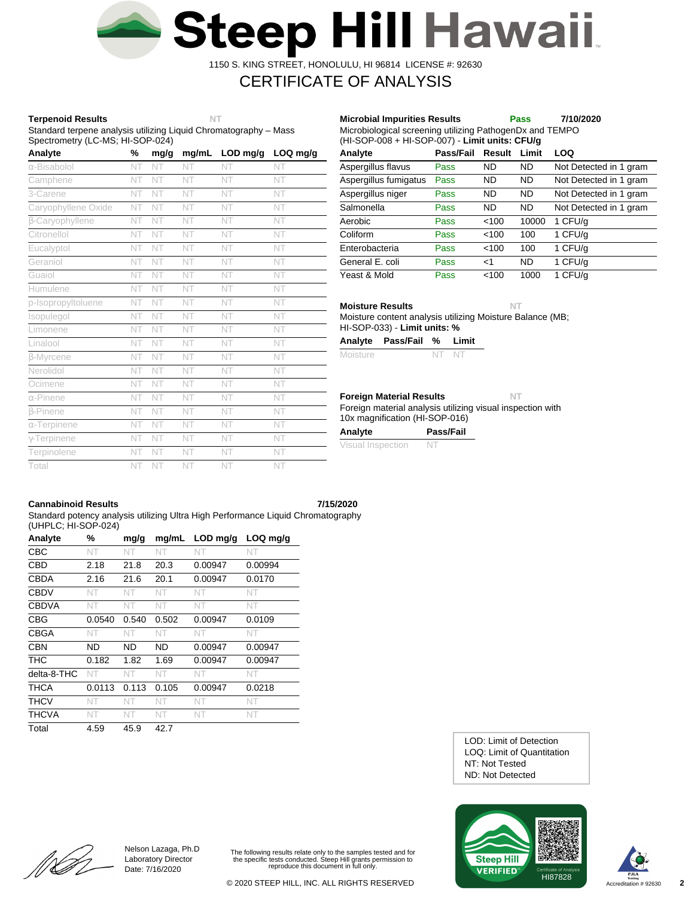

1150 S. KING STREET, HONOLULU, HI 96814 LICENSE #: 92630

# CERTIFICATE OF ANALYSIS

## **Terpenoid Results NT**

Standard terpene analysis utilizing Liquid Chromatography – Mass Spectrometry (LC-MS; HI-SOP-024)

| Analyte             | %  | mg/g | mg/mL | LOD mg/g | LOQ mg/g |
|---------------------|----|------|-------|----------|----------|
| α-Bisabolol         | NT | NT   | NT    | NT       | NT       |
| Camphene            | NT | NT   | NT    | NT       | NT       |
| 3-Carene            | NT | NT   | NT    | NT       | NT       |
| Caryophyllene Oxide | NT | NT   | NT    | NT       | NT       |
| β-Caryophyllene     | NT | NT   | NT    | NT       | NT       |
| Citronellol         | NT | NT   | NT    | NT       | NT       |
| Eucalyptol          | NT | NT   | NT    | NT       | NT       |
| Geraniol            | NT | NT   | NT    | NT       | NT       |
| Guaiol              | NT | NT   | NT    | NT       | NT       |
| Humulene            | NT | NT   | NT    | NT       | NT       |
| p-Isopropyltoluene  | NT | NT   | NT    | NT       | NT       |
| Isopulegol          | NT | NT   | NT    | NT       | NT       |
| Limonene            | NT | NT   | NT    | NT       | NT       |
| Linalool            | NT | NT   | NT    | NT       | NT       |
| <b>B-Myrcene</b>    | NT | NT   | NT    | NT       | NT       |
| Nerolidol           | NT | NT   | NT    | NT       | NT       |
| Ocimene             | NT | NT   | NT    | NT       | NT       |
| $\alpha$ -Pinene    | NT | NT   | NT    | NT       | NT       |
| <b>B-Pinene</b>     | NT | NT   | NT    | NT       | NT       |
| $\alpha$ -Terpinene | NT | NT   | NT    | NT       | NT       |
| $\gamma$ -Terpinene | NT | NT   | NT    | NT       | NT       |
| Terpinolene         | NT | NT   | NT    | NT       | NT       |
| Total               | NT | NT   | NT    | NT       | NT       |

| Microbiological screening utilizing PathogenDx and TEMPO<br>(HI-SOP-008 + HI-SOP-007) - Limit units: CFU/g |             |           |           |                        |  |  |
|------------------------------------------------------------------------------------------------------------|-------------|-----------|-----------|------------------------|--|--|
| Analyte                                                                                                    | Pass/Fail   | Result    | Limit     | LOQ                    |  |  |
| Aspergillus flavus                                                                                         | Pass        | ND        | ND.       | Not Detected in 1 gram |  |  |
| Aspergillus fumigatus                                                                                      | Pass        | ND        | <b>ND</b> | Not Detected in 1 gram |  |  |
| Aspergillus niger                                                                                          | Pass        | ND        | <b>ND</b> | Not Detected in 1 gram |  |  |
| Salmonella                                                                                                 | Pass        | <b>ND</b> | <b>ND</b> | Not Detected in 1 gram |  |  |
| Aerobic                                                                                                    | Pass        | < 100     | 10000     | 1 CFU/g                |  |  |
| Coliform                                                                                                   | Pass        | < 100     | 100       | 1 CFU/g                |  |  |
| Enterobacteria                                                                                             | <b>Pass</b> | < 100     | 100       | 1 CFU/g                |  |  |
| General E. coli                                                                                            | Pass        | $<$ 1     | <b>ND</b> | 1 CFU/g                |  |  |
| Yeast & Mold                                                                                               | Pass        | < 100     | 1000      | 1 CFU/a                |  |  |

**Microbial Impurities Results Pass 7/10/2020**

**Moisture Results NT**

Moisture content analysis utilizing Moisture Balance (MB; HI-SOP-033) - **Limit units: %**

| Analyte | Pass/Fail % Limit |  |
|---------|-------------------|--|
|         |                   |  |

| Moisture<br>NT NT |  |
|-------------------|--|
|-------------------|--|

### **Foreign Material Results NT**

Foreign material analysis utilizing visual inspection with 10x magnification (HI-SOP-016)

| Analyte           | Pass/Fail |
|-------------------|-----------|
| Visual Inspection | -N.       |

## **Cannabinoid Results 7/15/2020**

[[LA

Standard potency analysis utilizing Ultra High Performance Liquid Chromatography (UHPLC; HI-SOP-024)

| Analyte      | %      | mg/g      | mg/mL | $LOD$ mg/g | $LOQ$ mg/g |
|--------------|--------|-----------|-------|------------|------------|
| CBC          | NT     | NT.       | NT    | NT         | NT         |
| <b>CBD</b>   | 2.18   | 21.8      | 20.3  | 0.00947    | 0.00994    |
| <b>CBDA</b>  | 2.16   | 21.6      | 20.1  | 0.00947    | 0.0170     |
| <b>CBDV</b>  | NT     | NT        | NT    | NT         | NT.        |
| <b>CBDVA</b> | NT     | NT        | NT    | NT         | NT         |
| <b>CBG</b>   | 0.0540 | 0.540     | 0.502 | 0.00947    | 0.0109     |
| <b>CBGA</b>  | NT     | NT        | NT    | NT         | NT         |
| <b>CBN</b>   | ND     | <b>ND</b> | ND    | 0.00947    | 0.00947    |
| <b>THC</b>   | 0.182  | 1.82      | 1.69  | 0.00947    | 0.00947    |
| delta-8-THC  | NT     | NT.       | NT    | NT         | NT         |
| THCA         | 0.0113 | 0.113     | 0.105 | 0.00947    | 0.0218     |
| <b>THCV</b>  | NT     | NT        | NT    | NT         | NT         |
| <b>THCVA</b> | NT     | NT        | NT    | NT.        | NT.        |
| Total        | 4.59   | 45.9      | 42.7  |            |            |

ND: Not Detected NT: Not Tested LOQ: Limit of Quantitation LOD: Limit of Detection





Nelson Lazaga, Ph.D Laboratory Director Date: 7/16/2020

The following results relate only to the samples tested and for the specific tests conducted. Steep Hill grants permission to reproduce this document in full only.